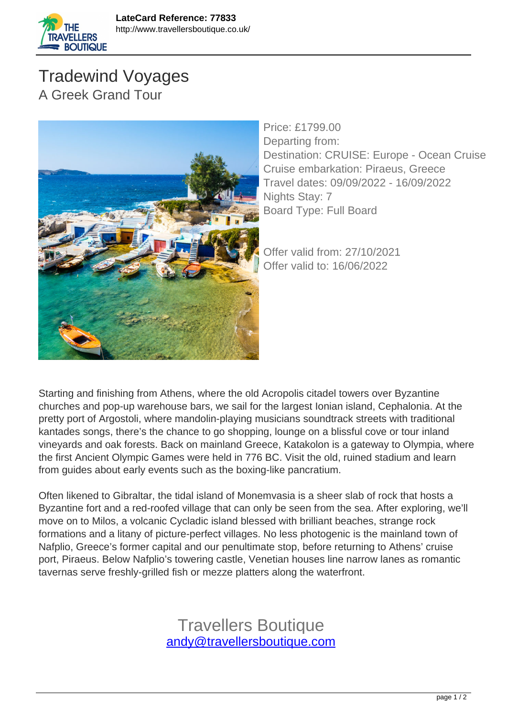

**TRAVELLERS BOUTIQUE** 



Price: £1799.00 Departing from: Destination: CRUISE: Europe - Ocean Cruise Cruise embarkation: Piraeus, Greece Travel dates: 09/09/2022 - 16/09/2022 Nights Stay: 7 Board Type: Full Board

Offer valid from: 27/10/2021 Offer valid to: 16/06/2022

Starting and finishing from Athens, where the old Acropolis citadel towers over Byzantine churches and pop-up warehouse bars, we sail for the largest Ionian island, Cephalonia. At the pretty port of Argostoli, where mandolin-playing musicians soundtrack streets with traditional kantades songs, there's the chance to go shopping, lounge on a blissful cove or tour inland vineyards and oak forests. Back on mainland Greece, Katakolon is a gateway to Olympia, where the first Ancient Olympic Games were held in 776 BC. Visit the old, ruined stadium and learn from guides about early events such as the boxing-like pancratium.

Often likened to Gibraltar, the tidal island of Monemvasia is a sheer slab of rock that hosts a Byzantine fort and a red-roofed village that can only be seen from the sea. After exploring, we'll move on to Milos, a volcanic Cycladic island blessed with brilliant beaches, strange rock formations and a litany of picture-perfect villages. No less photogenic is the mainland town of Nafplio, Greece's former capital and our penultimate stop, before returning to Athens' cruise port, Piraeus. Below Nafplio's towering castle, Venetian houses line narrow lanes as romantic tavernas serve freshly-grilled fish or mezze platters along the waterfront.

> Travellers Boutique [andy@travellersboutique.com](mailto:andy@travellersboutique.com)